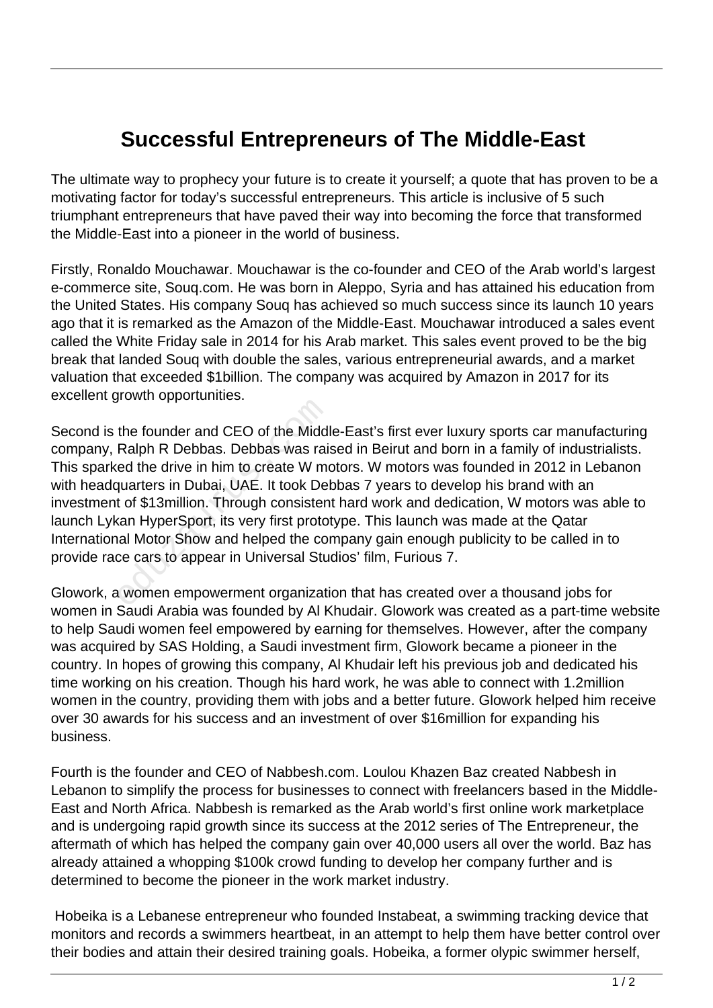## **Successful Entrepreneurs of The Middle-East**

The ultimate way to prophecy your future is to create it yourself; a quote that has proven to be a motivating factor for today's successful entrepreneurs. This article is inclusive of 5 such triumphant entrepreneurs that have paved their way into becoming the force that transformed the Middle-East into a pioneer in the world of business.

Firstly, Ronaldo Mouchawar. Mouchawar is the co-founder and CEO of the Arab world's largest e-commerce site, Souq.com. He was born in Aleppo, Syria and has attained his education from the United States. His company Souq has achieved so much success since its launch 10 years ago that it is remarked as the Amazon of the Middle-East. Mouchawar introduced a sales event called the White Friday sale in 2014 for his Arab market. This sales event proved to be the big break that landed Souq with double the sales, various entrepreneurial awards, and a market valuation that exceeded \$1billion. The company was acquired by Amazon in 2017 for its excellent growth opportunities.

Second is the founder and CEO of the Middle-East's first ever luxury sports car manufacturing company, Ralph R Debbas. Debbas was raised in Beirut and born in a family of industrialists. This sparked the drive in him to create W motors. W motors was founded in 2012 in Lebanon with headquarters in Dubai, UAE. It took Debbas 7 years to develop his brand with an investment of \$13million. Through consistent hard work and dedication, W motors was able to launch Lykan HyperSport, its very first prototype. This launch was made at the Qatar International Motor Show and helped the company gain enough publicity to be called in to provide race cars to appear in Universal Studios' film, Furious 7. the founder and CEO of the Middl<br>Ralph R Debbas. Debbas was raised the drive in him to create W manuarters in Dubai, UAE. It took Del<br>t of \$13million. Through consisten<br>can HyperSport, its very first protoinal Motor Show a

Glowork, a women empowerment organization that has created over a thousand jobs for women in Saudi Arabia was founded by Al Khudair. Glowork was created as a part-time website to help Saudi women feel empowered by earning for themselves. However, after the company was acquired by SAS Holding, a Saudi investment firm, Glowork became a pioneer in the country. In hopes of growing this company, Al Khudair left his previous job and dedicated his time working on his creation. Though his hard work, he was able to connect with 1.2million women in the country, providing them with jobs and a better future. Glowork helped him receive over 30 awards for his success and an investment of over \$16million for expanding his business.

Fourth is the founder and CEO of Nabbesh.com. Loulou Khazen Baz created Nabbesh in Lebanon to simplify the process for businesses to connect with freelancers based in the Middle-East and North Africa. Nabbesh is remarked as the Arab world's first online work marketplace and is undergoing rapid growth since its success at the 2012 series of The Entrepreneur, the aftermath of which has helped the company gain over 40,000 users all over the world. Baz has already attained a whopping \$100k crowd funding to develop her company further and is determined to become the pioneer in the work market industry.

 Hobeika is a Lebanese entrepreneur who founded Instabeat, a swimming tracking device that monitors and records a swimmers heartbeat, in an attempt to help them have better control over their bodies and attain their desired training goals. Hobeika, a former olypic swimmer herself,